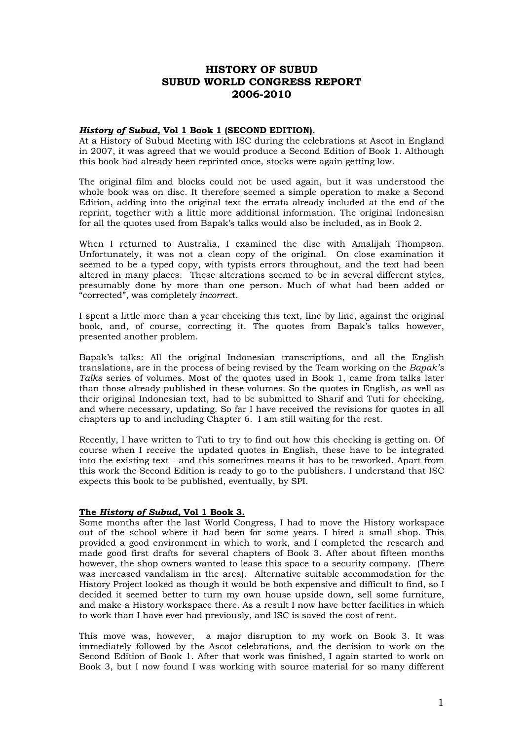# **HISTORY OF SUBUD SUBUD WORLD CONGRESS REPORT 2006-2010**

## *History of Subud***, Vol 1 Book 1 (SECOND EDITION).**

At a History of Subud Meeting with ISC during the celebrations at Ascot in England in 2007, it was agreed that we would produce a Second Edition of Book 1. Although this book had already been reprinted once, stocks were again getting low.

The original film and blocks could not be used again, but it was understood the whole book was on disc. It therefore seemed a simple operation to make a Second Edition, adding into the original text the errata already included at the end of the reprint, together with a little more additional information. The original Indonesian for all the quotes used from Bapak's talks would also be included, as in Book 2.

When I returned to Australia, I examined the disc with Amalijah Thompson. Unfortunately, it was not a clean copy of the original. On close examination it seemed to be a typed copy, with typists errors throughout, and the text had been altered in many places. These alterations seemed to be in several different styles, presumably done by more than one person. Much of what had been added or "corrected", was completely *incorrec*t.

I spent a little more than a year checking this text, line by line, against the original book, and, of course, correcting it. The quotes from Bapak's talks however, presented another problem.

Bapak's talks: All the original Indonesian transcriptions, and all the English translations, are in the process of being revised by the Team working on the *Bapak's Talks* series of volumes. Most of the quotes used in Book 1, came from talks later than those already published in these volumes. So the quotes in English, as well as their original Indonesian text, had to be submitted to Sharif and Tuti for checking, and where necessary, updating. So far I have received the revisions for quotes in all chapters up to and including Chapter 6. I am still waiting for the rest.

Recently, I have written to Tuti to try to find out how this checking is getting on. Of course when I receive the updated quotes in English, these have to be integrated into the existing text - and this sometimes means it has to be reworked. Apart from this work the Second Edition is ready to go to the publishers. I understand that ISC expects this book to be published, eventually, by SPI.

# **The** *History of Subud,* **Vol 1 Book 3.**

Some months after the last World Congress, I had to move the History workspace out of the school where it had been for some years. I hired a small shop. This provided a good environment in which to work, and I completed the research and made good first drafts for several chapters of Book 3. After about fifteen months however, the shop owners wanted to lease this space to a security company. (There was increased vandalism in the area). Alternative suitable accommodation for the History Project looked as though it would be both expensive and difficult to find, so I decided it seemed better to turn my own house upside down, sell some furniture, and make a History workspace there. As a result I now have better facilities in which to work than I have ever had previously, and ISC is saved the cost of rent.

This move was, however, a major disruption to my work on Book 3. It was immediately followed by the Ascot celebrations, and the decision to work on the Second Edition of Book 1. After that work was finished, I again started to work on Book 3, but I now found I was working with source material for so many different